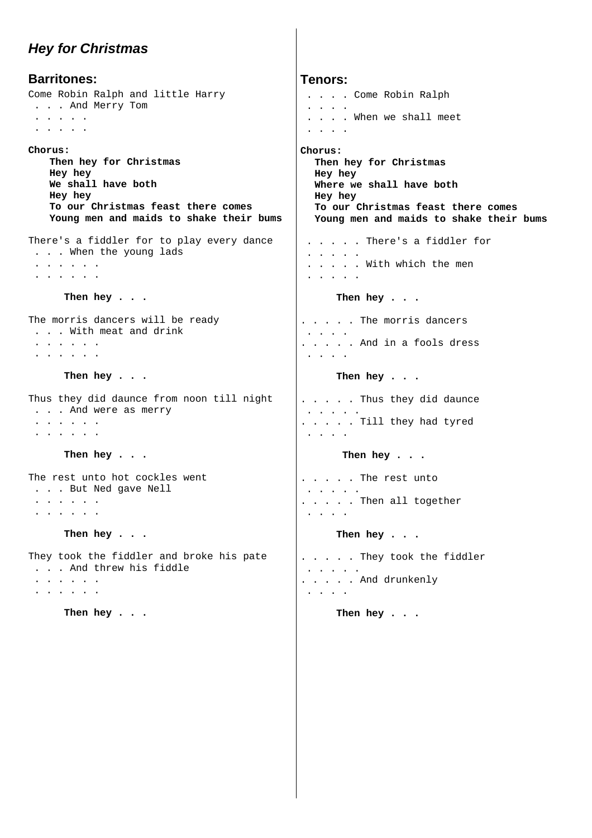## *Hey for Christmas*

**Barritones:**  Come Robin Ralph and little Harry . . . And Merry Tom . . . . . . . . . . **Chorus: Then hey for Christmas Hey hey We shall have both Hey hey To our Christmas feast there comes Young men and maids to shake their bums**  There's a fiddler for to play every dance . . . When the young lads . . . . . . . . . . . . **Then hey . . .**  The morris dancers will be ready . . . With meat and drink . . . . . . . . . . . . **Then hey . . .**  Thus they did daunce from noon till night . . . And were as merry . . . . . . . . . . . . **Then hey . . .**  The rest unto hot cockles went . . . But Ned gave Nell . . . . . . . . . . . . **Then hey . . .** 

They took the fiddler and broke his pate . . . And threw his fiddle

 . . . . . . . . . . . .

**Then hey . . .** 

**Tenors:**  . . . . Come Robin Ralph . . . . . . . . When we shall meet . . . . **Chorus: Then hey for Christmas Hey hey Where we shall have both Hey hey To our Christmas feast there comes Young men and maids to shake their bums**  . . . . . There's a fiddler for . . . . . . . . . . With which the men . . . . . **Then hey . . .**  . . . . . The morris dancers . . . . . . . . . And in a fools dress . . . . **Then hey . . .**  . . . . . Thus they did daunce . . . . . . . . . . Till they had tyred . . . . **Then hey . . .**  . . . . . The rest unto . . . . . . . . . . Then all together . . . . **Then hey . . .**  . . . . . They took the fiddler . . . . .

**Then hey . . .** 

. . . . . And drunkenly

. . . .